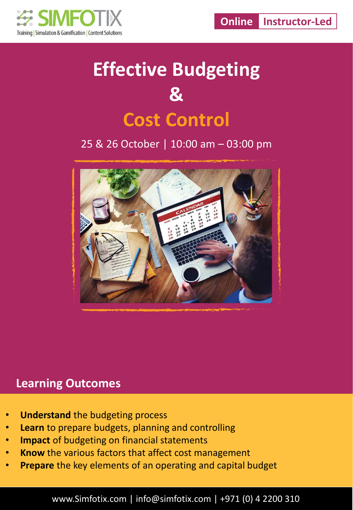

# **Effective Budgeting & Cost Control**

25 & 26 October | 10:00 am – 03:00 pm



#### **Learning Outcomes**

- **Understand** the budgeting process
- **Learn** to prepare budgets, planning and controlling
- **Impact** of budgeting on financial statements
- **Know** the various factors that affect cost management
- **Prepare** the key elements of an operating and capital budget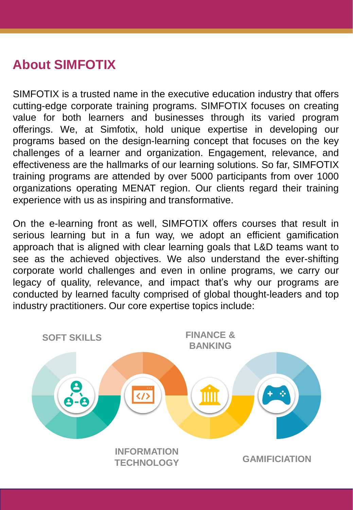### **About SIMFOTIX**

SIMFOTIX is a trusted name in the executive education industry that offers cutting-edge corporate training programs. SIMFOTIX focuses on creating value for both learners and businesses through its varied program offerings. We, at Simfotix, hold unique expertise in developing our programs based on the design-learning concept that focuses on the key challenges of a learner and organization. Engagement, relevance, and effectiveness are the hallmarks of our learning solutions. So far, SIMFOTIX training programs are attended by over 5000 participants from over 1000 organizations operating MENAT region. Our clients regard their training experience with us as inspiring and transformative.

On the e-learning front as well, SIMFOTIX offers courses that result in serious learning but in a fun way, we adopt an efficient gamification approach that is aligned with clear learning goals that L&D teams want to see as the achieved objectives. We also understand the ever-shifting corporate world challenges and even in online programs, we carry our legacy of quality, relevance, and impact that's why our programs are conducted by learned faculty comprised of global thought-leaders and top industry practitioners. Our core expertise topics include:

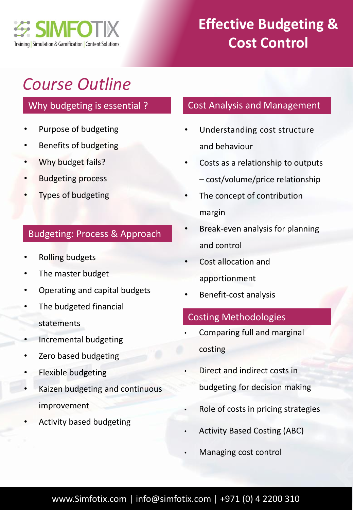

### **Effective Budgeting & Cost Control**

## *Course Outline*

#### Why budgeting is essential ?

- Purpose of budgeting
- Benefits of budgeting
- Why budget fails?
- Budgeting process
- Types of budgeting

#### Budgeting: Process & Approach

- Rolling budgets
- The master budget
- Operating and capital budgets
- The budgeted financial statements
- Incremental budgeting
- Zero based budgeting
- Flexible budgeting
- Kaizen budgeting and continuous improvement
- Activity based budgeting

#### Cost Analysis and Management

- Understanding cost structure and behaviour
- Costs as a relationship to outputs – cost/volume/price relationship
- The concept of contribution margin
- Break-even analysis for planning and control
- Cost allocation and apportionment
- Benefit-cost analysis

#### Costing Methodologies

- Comparing full and marginal costing
- Direct and indirect costs in budgeting for decision making
- Role of costs in pricing strategies
- Activity Based Costing (ABC)
- Managing cost control

#### www.Simfotix.com | info@simfotix.com | +971 (0) 4 2200 310